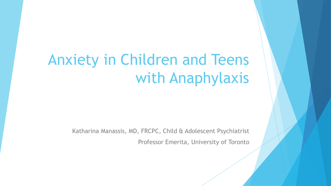# Anxiety in Children and Teens with Anaphylaxis

Katharina Manassis, MD, FRCPC, Child & Adolescent Psychiatrist Professor Emerita, University of Toronto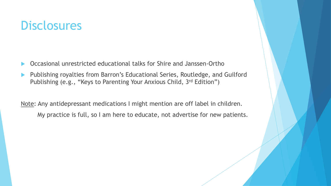#### **Disclosures**

- Occasional unrestricted educational talks for Shire and Janssen-Ortho
- Publishing royalties from Barron's Educational Series, Routledge, and Guilford Publishing (e.g., "Keys to Parenting Your Anxious Child, 3rd Edition")

Note: Any antidepressant medications I might mention are off label in children. My practice is full, so I am here to educate, not advertise for new patients.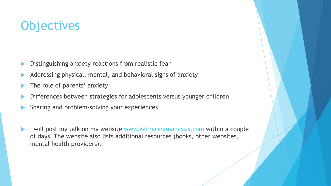# **Objectives**

- Distinguishing anxiety reactions from realistic fear
- Addressing physical, mental, and behavioral signs of anxiety
- The role of parents' anxiety
- Differences between strategies for adolescents versus younger children
- Sharing and problem-solving your experiences!
- I will post my talk on my website [www.katharinamanassis.com](http://www.katharinamanassis.com/) within a couple of days. The website also lists additional resources (books, other websites, mental health providers).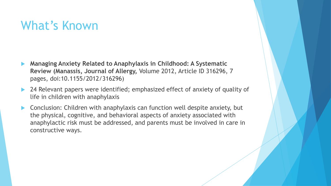### What's Known

- **Managing Anxiety Related to Anaphylaxis in Childhood: A Systematic Review (Manassis, Journal of Allergy,** Volume 2012, Article ID 316296, 7 pages, doi:10.1155/2012/316296)
- 24 Relevant papers were identified; emphasized effect of anxiety of quality of life in children with anaphylaxis
- Conclusion: Children with anaphylaxis can function well despite anxiety, but the physical, cognitive, and behavioral aspects of anxiety associated with anaphylactic risk must be addressed, and parents must be involved in care in constructive ways.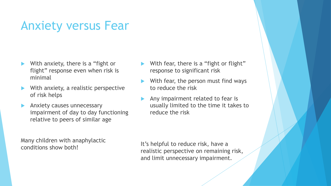# Anxiety versus Fear

- With anxiety, there is a "fight or flight" response even when risk is minimal
- With anxiety, a realistic perspective of risk helps
- Anxiety causes unnecessary impairment of day to day functioning relative to peers of similar age

Many children with anaphylactic conditions show both!

- With fear, there is a "fight or flight" response to significant risk
- With fear, the person must find ways to reduce the risk
- Any impairment related to fear is usually limited to the time it takes to reduce the risk

It's helpful to reduce risk, have a realistic perspective on remaining risk, and limit unnecessary impairment.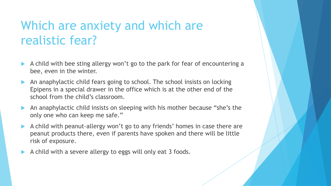# Which are anxiety and which are realistic fear?

- A child with bee sting allergy won't go to the park for fear of encountering a bee, even in the winter.
- An anaphylactic child fears going to school. The school insists on locking Epipens in a special drawer in the office which is at the other end of the school from the child's classroom.
- An anaphylactic child insists on sleeping with his mother because "she's the only one who can keep me safe."
- A child with peanut-allergy won't go to any friends' homes in case there are peanut products there, even if parents have spoken and there will be little risk of exposure.
- A child with a severe allergy to eggs will only eat 3 foods.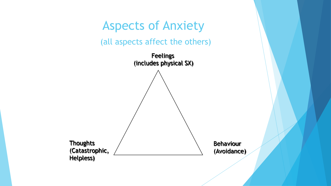# Aspects of Anxiety

(all aspects affect the others)

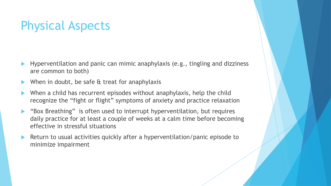# Physical Aspects

- Hyperventilation and panic can mimic anaphylaxis (e.g., tingling and dizziness are common to both)
- When in doubt, be safe & treat for anaphylaxis
- When a child has recurrent episodes without anaphylaxis, help the child recognize the "fight or flight" symptoms of anxiety and practice relaxation
- ▶ "Box Breathing" is often used to interrupt hyperventilation, but requires daily practice for at least a couple of weeks at a calm time before becoming effective in stressful situations
- Return to usual activities quickly after a hyperventilation/panic episode to minimize impairment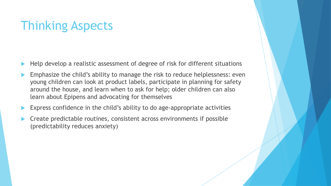# Thinking Aspects

- Help develop a realistic assessment of degree of risk for different situations
- Emphasize the child's ability to manage the risk to reduce helplessness: even young children can look at product labels, participate in planning for safety around the house, and learn when to ask for help; older children can also learn about Epipens and advocating for themselves
- Express confidence in the child's ability to do age-appropriate activities
- Create predictable routines, consistent across environments if possible (predictability reduces anxiety)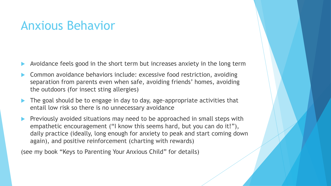#### Anxious Behavior

- Avoidance feels good in the short term but increases anxiety in the long term
- Common avoidance behaviors include: excessive food restriction, avoiding separation from parents even when safe, avoiding friends' homes, avoiding the outdoors (for insect sting allergies)
- The goal should be to engage in day to day, age-appropriate activities that entail low risk so there is no unnecessary avoidance
- Previously avoided situations may need to be approached in small steps with empathetic encouragement ("I know this seems hard, but you can do it!"), daily practice (ideally, long enough for anxiety to peak and start coming down again), and positive reinforcement (charting with rewards)

(see my book "Keys to Parenting Your Anxious Child" for details)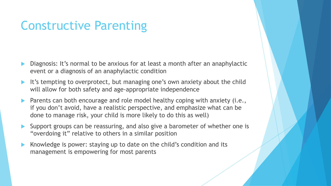### Constructive Parenting

- Diagnosis: It's normal to be anxious for at least a month after an anaphylactic event or a diagnosis of an anaphylactic condition
- It's tempting to overprotect, but managing one's own anxiety about the child will allow for both safety and age-appropriate independence
- Parents can both encourage and role model healthy coping with anxiety (i.e., if you don't avoid, have a realistic perspective, and emphasize what can be done to manage risk, your child is more likely to do this as well)
- Support groups can be reassuring, and also give a barometer of whether one is "overdoing it" relative to others in a similar position
- Knowledge is power: staying up to date on the child's condition and its management is empowering for most parents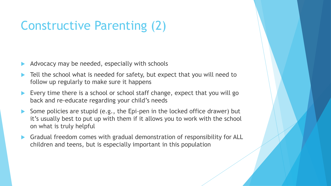# Constructive Parenting (2)

- Advocacy may be needed, especially with schools
- Tell the school what is needed for safety, but expect that you will need to follow up regularly to make sure it happens
- Every time there is a school or school staff change, expect that you will go back and re-educate regarding your child's needs
- Some policies are stupid (e.g., the Epi-pen in the locked office drawer) but it's usually best to put up with them if it allows you to work with the school on what is truly helpful
- Gradual freedom comes with gradual demonstration of responsibility for ALL children and teens, but is especially important in this population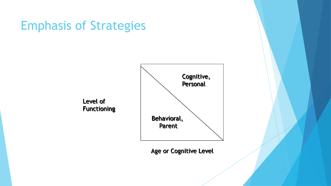# Emphasis of Strategies

Level of



Age or Cognitive Level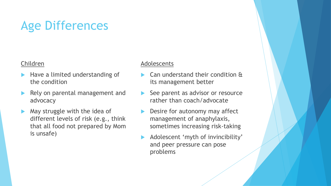# Age Differences

#### Children

- Have a limited understanding of the condition
- Rely on parental management and advocacy
- $\blacktriangleright$  May struggle with the idea of different levels of risk (e.g., think that all food not prepared by Mom is unsafe)

#### Adolescents

- Can understand their condition & its management better
- See parent as advisor or resource rather than coach/advocate
- Desire for autonomy may affect management of anaphylaxis, sometimes increasing risk-taking
- Adolescent 'myth of invincibility' and peer pressure can pose problems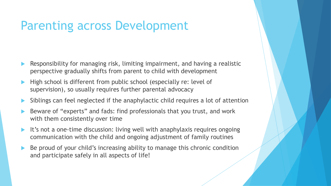### Parenting across Development

- Responsibility for managing risk, limiting impairment, and having a realistic perspective gradually shifts from parent to child with development
- $\blacktriangleright$  High school is different from public school (especially re: level of supervision), so usually requires further parental advocacy
- Siblings can feel neglected if the anaphylactic child requires a lot of attention
- Beware of "experts" and fads: find professionals that you trust, and work with them consistently over time
- It's not a one-time discussion: living well with anaphylaxis requires ongoing communication with the child and ongoing adjustment of family routines
- Be proud of your child's increasing ability to manage this chronic condition and participate safely in all aspects of life!